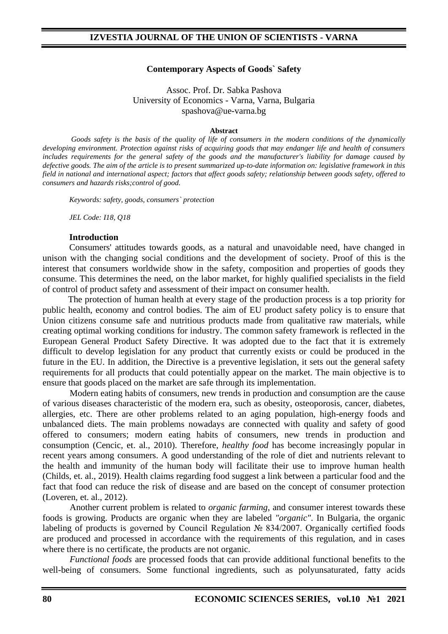#### **Contemporary Aspects of Goods` Safety**

Assoc. Prof. Dr. Sabka Pashova University of Economics - Varna, Varna, Bulgaria spashova@ue-varna.bg

#### **Abstract**

*Goods safety is the basis of the quality of life of consumers in the modern conditions of the dynamically developing environment. Protection against risks of acquiring goods that may endanger life and health of consumers includes requirements for the general safety of the goods and the manufacturer's liability for damage caused by defective goods. The aim of the article is to present summarized up-to-date information on: legislative framework in this field in national and international aspect; factors that affect goods safety; relationship between goods safety, offered to consumers and hazards risks;control of good.*

*Keywords: safety, goods, consumers` protection*

*JEL Code: I18, Q18*

#### **Introduction**

Consumers' attitudes towards goods, as a natural and unavoidable need, have changed in unison with the changing social conditions and the development of society. Proof of this is the interest that consumers worldwide show in the safety, composition and properties of goods they consume. This determines the need, on the labor market, for highly qualified specialists in the field of control of product safety and assessment of their impact on consumer health.

The protection of human health at every stage of the production process is a top priority for public health, economy and control bodies. The aim of EU product safety policy is to ensure that Union citizens consume safe and nutritious products made from qualitative raw materials, while creating optimal working conditions for industry. The common safety framework is reflected in the European General Product Safety Directive. It was adopted due to the fact that it is extremely difficult to develop legislation for any product that currently exists or could be produced in the future in the EU. In addition, the Directive is a preventive legislation, it sets out the general safety requirements for all products that could potentially appear on the market. The main objective is to ensure that goods placed on the market are safe through its implementation.

Modern eating habits of consumers, new trends in production and consumption are the cause of various diseases characteristic of the modern era, such as obesity, osteoporosis, cancer, diabetes, allergies, etc. There are other problems related to an aging population, high-energy foods and unbalanced diets. The main problems nowadays are connected with quality and safety of good offered to consumers; modern eating habits of consumers, new trends in production and consumption (Cencic, et. al., 2010). Therefore, *healthy food* has become increasingly popular in recent years among consumers. A good understanding of the role of diet and nutrients relevant to the health and immunity of the human body will facilitate their use to improve human health (Childs, et. al., 2019). Health claims regarding food suggest a link between a particular food and the fact that food can reduce the risk of disease and are based on the concept of consumer protection (Loveren, et. al., 2012).

Another current problem is related to *organic farming*, and consumer interest towards these foods is growing. Products are organic when they are labeled *"organic"*. In Bulgaria, the organic labeling of products is governed by Council Regulation № 834/2007. Organically certified foods are produced and processed in accordance with the requirements of this regulation, and in cases where there is no certificate, the products are not organic.

*Functional foods* are processed foods that can provide additional functional benefits to the well-being of consumers. Some functional ingredients, such as polyunsaturated, fatty acids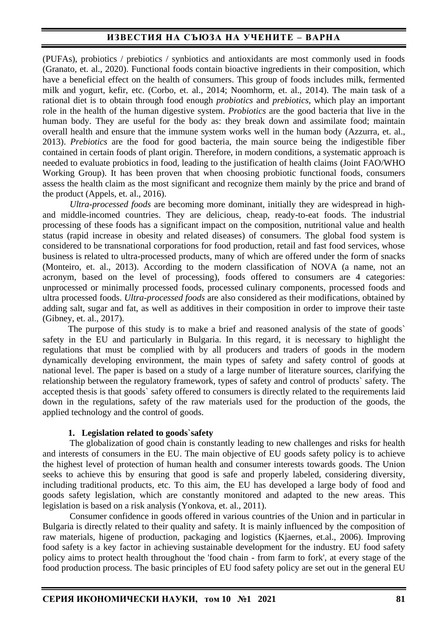(PUFAs), probiotics / prebiotics / synbiotics and antioxidants are most commonly used in foods (Granato, et. al., 2020). Functional foods contain bioactive ingredients in their composition, which have a beneficial effect on the health of consumers. This group of foods includes milk, fermented milk and yogurt, kefir, etc. (Corbo, et. al., 2014; Noomhorm, et. al., 2014). The main task of a rational diet is to obtain through food enough *probiotics* and *prebiotics*, which play an important role in the health of the human digestive system. *Probiotics* are the good bacteria that live in the human body. They are useful for the body as: they break down and assimilate food; maintain overall health and ensure that the immune system works well in the human body (Azzurra, et. al., 2013). *Prebiotics* are the food for good bacteria, the main source being the indigestible fiber contained in certain foods of plant origin. Therefore, in modern conditions, a systematic approach is needed to evaluate probiotics in food, leading to the justification of health claims (Joint FAO/WHO Working Group). It has been proven that when choosing probiotic functional foods, consumers assess the health claim as the most significant and recognize them mainly by the price and brand of the product (Appels, et. al., 2016).

*Ultra-processed foods* are becoming more dominant, initially they are widespread in highand middle-incomed countries. They are delicious, cheap, ready-to-eat foods. The industrial processing of these foods has a significant impact on the composition, nutritional value and health status (rapid increase in obesity and related diseases) of consumers. The global food system is considered to be transnational corporations for food production, retail and fast food services, whose business is related to ultra-processed products, many of which are offered under the form of snacks (Monteiro, et. al., 2013). According to the modern classification of NOVA (a name, not an acronym, based on the level of processing), foods offered to consumers are 4 categories: unprocessed or minimally processed foods, processed culinary components, processed foods and ultra processed foods. *Ultra-processed foods* are also considered as their modifications, obtained by adding salt, sugar and fat, as well as additives in their composition in order to improve their taste (Gibney, et. al., 2017).

The purpose of this study is to make a brief and reasoned analysis of the state of goods` safety in the EU and particularly in Bulgaria. In this regard, it is necessary to highlight the regulations that must be complied with by all producers and traders of goods in the modern dynamically developing environment, the main types of safety and safety control of goods at national level. The paper is based on a study of a large number of literature sources, clarifying the relationship between the regulatory framework, types of safety and control of products` safety. The accepted thesis is that goods` safety offered to consumers is directly related to the requirements laid down in the regulations, safety of the raw materials used for the production of the goods, the applied technology and the control of goods.

### **1. Legislation related to goods`safety**

The globalization of good chain is constantly leading to new challenges and risks for health and interests of consumers in the EU. The main objective of EU goods safety policy is to achieve the highest level of protection of human health and consumer interests towards goods. The Union seeks to achieve this by ensuring that good is safe and properly labeled, considering diversity, including traditional products, etc. To this aim, the EU has developed a large body of food and goods safety legislation, which are constantly monitored and adapted to the new areas. This legislation is based on a risk analysis (Yonkova, et. al., 2011).

Consumer confidence in goods offered in various countries of the Union and in particular in Bulgaria is directly related to their quality and safety. It is mainly influenced by the composition of raw materials, higene of production, packaging and logistics (Kjaernes, et.al., 2006). Improving food safety is a key factor in achieving sustainable development for the industry. EU food safety policy aims to protect health throughout the 'food chain - from farm to fork', at every stage of the food production process. The basic principles of EU food safety policy are set out in the general EU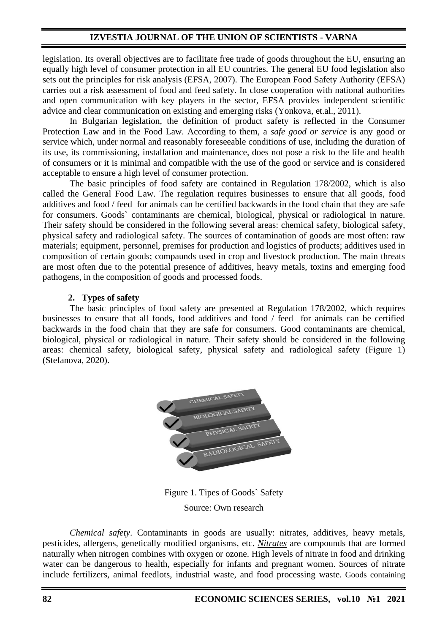### **IZVESTIA JOURNAL OF THE UNION OF SCIENTISTS - VARNA**

legislation. Its overall objectives are to facilitate free trade of goods throughout the EU, ensuring an equally high level of consumer protection in all EU countries. The general EU food legislation also sets out the principles for risk analysis (EFSA, 2007). The European Food Safety Authority (EFSA) carries out a risk assessment of food and feed safety. In close cooperation with national authorities and open communication with key players in the sector, EFSA provides independent scientific advice and clear communication on existing and emerging risks (Yonkova, et.al., 2011).

In Bulgarian legislation, the definition of product safety is reflected in the Consumer Protection Law and in the Food Law. According to them, a *safe good or service* is any good or service which, under normal and reasonably foreseeable conditions of use, including the duration of its use, its commissioning, installation and maintenance, does not pose a risk to the life and health of consumers or it is minimal and compatible with the use of the good or service and is considered acceptable to ensure a high level of consumer protection.

The basic principles of food safety are contained in Regulation 178/2002, which is also called the General Food Law. The regulation requires businesses to ensure that all goods, food additives and food / feed for animals can be certified backwards in the food chain that they are safe for consumers. Goods` contaminants are chemical, biological, physical or radiological in nature. Their safety should be considered in the following several areas: chemical safety, biological safety, physical safety and radiological safety. The sources of contamination of goods are most often: raw materials; equipment, personnel, premises for production and logistics of products; additives used in composition of certain goods; compaunds used in crop and livestock production. The main threats are most often due to the potential presence of additives, heavy metals, toxins and emerging food pathogens, in the composition of goods and processed foods.

#### **2. Types of safety**

The basic principles of food safety are presented at Regulation 178/2002, which requires businesses to ensure that all foods, food additives and food / feed for animals can be certified backwards in the food chain that they are safe for consumers. Good contaminants are chemical, biological, physical or radiological in nature. Their safety should be considered in the following areas: chemical safety, biological safety, physical safety and radiological safety (Figure 1) (Stefanova, 2020).



Figure 1. Tipes of Goods` Safety Source: Own research

*Chemical safety*. Contaminants in goods are usually: nitrates, additives, heavy metals, pesticides, allergens, genetically modified organisms, etc. *Nitrates* are compounds that are formed naturally when nitrogen combines with oxygen or ozone. High levels of nitrate in food and drinking water can be dangerous to health, especially for infants and pregnant women. Sources of nitrate include fertilizers, animal feedlots, industrial waste, and food processing waste. Goods containing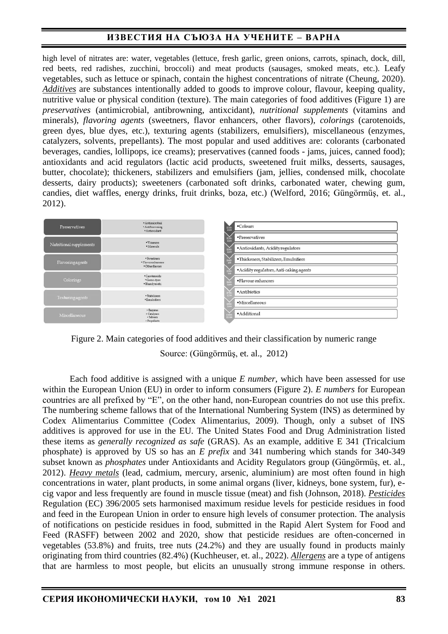high level of nitrates are: water, vegetables (lettuce, fresh garlic, green onions, carrots, spinach, dock, dill, red beets, red radishes, zucchini, broccoli) and meat products (sausages, smoked meats, etc.). Leafy vegetables, such as lettuce or spinach, contain the highest concentrations of nitrate (Cheung, 2020). *Additives* are substances intentionally added to goods to improve colour, flavour, keeping quality, nutritive value or physical condition (texture). The main categories of food additives (Figure 1) are *preservatives* (antimicrobial, antibrowning, antixcidant), *nutritional supplements* (vitamins and minerals), *flavoring agents* (sweetners, flavor enhancers, other flavors), *colorings* (carotenoids, green dyes, blue dyes, etc.), texturing agents (stabilizers, emulsifiers), miscellaneous (enzymes, catalyzers, solvents, prepellants). The most popular and used additives are: colorants (carbonated beverages, candies, lollipops, ice creams); preservatives (canned foods - jams, juices, canned food); antioxidants and acid regulators (lactic acid products, sweetened fruit milks, desserts, sausages, butter, chocolate); thickeners, stabilizers and emulsifiers (jam, jellies, condensed milk, chocolate desserts, dairy products); sweeteners (carbonated soft drinks, carbonated water, chewing gum, candies, diet waffles, energy drinks, fruit drinks, boza, etc.) (Welford, 2016; Güngörmüş, et. al., 2012).

| Preservatives           | · Antimicrobial<br>· Antibrowning<br>· Antioxidant       | •Colours<br>E100<br>E100                 |
|-------------------------|----------------------------------------------------------|------------------------------------------|
| Nutritional supplements | · Vitamins<br>· Minerals                                 | ·Preservatives<br>EXO                    |
|                         |                                                          | · Antioxidants, Acidity regulators       |
| Flavoringagents         | · Sweetners<br>· Flavor enhancers<br>· Other flavors     | ·Thickeners, Stabilizers, Emulsifiers    |
|                         |                                                          | · Acidity regulators, Anti-caking agents |
| Colorings               | ·Carotenoids<br>· Green dyes<br>· Blue dyes etc.         | · Flavour enhancers                      |
| Texturing agents        | · Stabilizers<br>· Emulsifiers                           | · Antibiotics                            |
|                         |                                                          | ·Miscellaneous                           |
| Miscellaneous           | · Enzymes<br>· Catalysers<br>· Solvents<br>- Propellants | · Additional                             |

Figure 2. Main categories of food additives and their classification by numeric range Source: (Güngörmüş, et. al., 2012)

Each food additive is assigned with a unique *E number*, which have been assessed for use within the European Union (EU) in order to inform consumers (Figure 2). *E numbers* for European countries are all prefixed by "E", on the other hand, non-European countries do not use this prefix. The numbering scheme fallows that of the International Numbering System (INS) as determined by Codex Alimentarius Committee (Codex Alimentarius, 2009). Though, only a subset of INS additives is approved for use in the EU. The United States Food and Drug Administration listed these items as *generally recognized as safe* (GRAS). As an example, additive E 341 (Tricalcium phosphate) is approved by US so has an *E prefix* and 341 numbering which stands for 340-349 subset known as *phosphates* under Antioxidants and Acidity Regulators group (Güngörmüş, et. al., 2012). *Heavy metals* (lead, cadmium, mercury, arsenic, aluminium) are most often found in high concentrations in water, plant products, in some animal organs (liver, kidneys, bone system, fur), ecig vapor and less frequently are found in muscle tissue (meat) and fish (Johnson, 2018). *Pesticides* Regulation (EC) 396/2005 sets harmonised maximum residue levels for pesticide residues in food and feed in the European Union in order to ensure high levels of consumer protection. The analysis of notifications on pesticide residues in food, submitted in the Rapid Alert System for Food and Feed (RASFF) between 2002 and 2020, show that pesticide residues are often-concerned in vegetables (53.8%) and fruits, tree nuts (24.2%) and they are usually found in products mainly originating from third countries (82.4%) (Kuchheuser, et. al., 2022). *Allergens* are a type of antigens that are harmless to most people, but elicits an unusually strong immune response in others.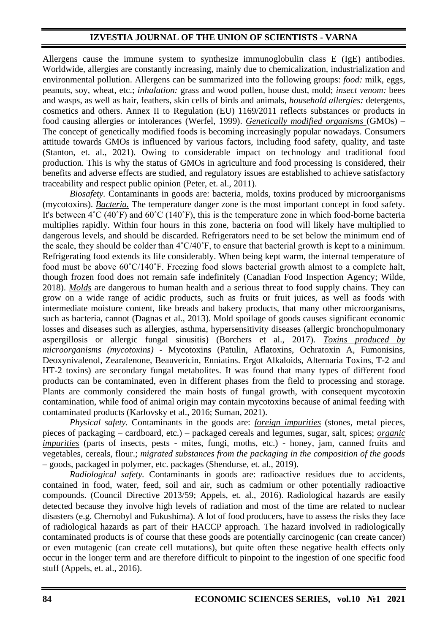## **IZVESTIA JOURNAL OF THE UNION OF SCIENTISTS - VARNA**

Allergens cause the immune system to synthesize immunoglobulin class E (IgE) antibodies. Worldwide, allergies are constantly increasing, mainly due to chemicalization, industrialization and environmental pollution. Allergens can be summarized into the following groups: *food:* milk, eggs, peanuts, soy, wheat, etc.; *inhalation:* grass and wood pollen, house dust, mold; *insect venom:* bees and wasps, as well as hair, feathers, skin cells of birds and animals, *household allergies:* detergents, cosmetics and others. Annex II to Regulation (EU) 1169/2011 reflects substances or products in food causing allergies or intolerances (Werfel, 1999). *Genetically modified organisms* (GMOs) – The concept of genetically modified foods is becoming increasingly popular nowadays. Consumers attitude towards GMOs is influenced by various factors, including food safety, quality, and taste (Stanton, et. al., 2021). Owing to considerable impact on technology and traditional food production. This is why the status of GMOs in agriculture and food processing is considered, their benefits and adverse effects are studied, and regulatory issues are established to achieve satisfactory traceability and respect public opinion (Peter, et. al., 2011).

*Biosafety.* Contaminants in goods are: bacteria, molds, toxins produced by microorganisms (mycotoxins). *Bacteria.* The temperature danger zone is the most important concept in food safety. It's between 4˚C (40˚F) and 60˚C (140˚F), this is the temperature zone in which food-borne bacteria multiplies rapidly. Within four hours in this zone, bacteria on food will likely have multiplied to dangerous levels, and should be discarded. Refrigerators need to be set below the minimum end of the scale, they should be colder than 4˚C/40˚F, to ensure that bacterial growth is kept to a minimum. Refrigerating food extends its life considerably. When being kept warm, the internal temperature of food must be above 60˚C/140˚F. Freezing food slows bacterial growth almost to a complete halt, though frozen food does not remain safe indefinitely (Canadian Food Inspection Agency; Wilde, 2018). *Molds* are dangerous to human health and a serious threat to food supply chains. They can grow on a wide range of acidic products, such as fruits or fruit juices, as well as foods with intermediate moisture content, like breads and bakery products, that many other microorganisms, such as bacteria, cannot (Dagnas et al., 2013). Mold spoilage of goods causes significant economic losses and diseases such as allergies, asthma, hypersensitivity diseases (allergic bronchopulmonary aspergillosis or allergic fungal sinusitis) (Borchers et al., 2017). *Toxins produced by microorganisms (mycotoxins)* - Mycotoxins (Patulin, Aflatoxins, Ochratoxin A, Fumonisins, Deoxynivalenol, Zearalenone, Beauvericin, Enniatins. Ergot Alkaloids, Alternaria Toxins, T-2 and HT-2 toxins) are secondary fungal metabolites. It was found that many types of different food products can be contaminated, even in different phases from the field to processing and storage. Plants are commonly considered the main hosts of fungal growth, with consequent mycotoxin contamination, while food of animal origin may contain mycotoxins because of animal feeding with contaminated products (Karlovsky et al., 2016; Suman, 2021).

*Physical safety.* Contaminants in the goods are: *foreign impurities* (stones, metal pieces, pieces of packaging – cardboard, etc.) – packaged cereals and legumes, sugar, salt, spices; *organic impurities* (parts of insects, pests - mites, fungi, moths, etc.) - honey, jam, canned fruits and vegetables, cereals, flour.; *migrated substances from the packaging in the composition of the goods* – goods, packaged in polymer, etc. packages (Shendurse, et. al., 2019).

*Radiological safety.* Contaminants in goods are: radioactive residues due to accidents, contained in food, water, feed, soil and air, such as cadmium or other potentially radioactive compounds. (Council Directive 2013/59; Appels, et. al., 2016). Radiological hazards are easily detected because they involve high levels of radiation and most of the time are related to nuclear disasters (e.g. Chernobyl and Fukushima). A lot of food producers, have to assess the risks they face of radiological hazards as part of their HACCP approach. The hazard involved in radiologically contaminated products is of course that these goods are potentially carcinogenic (can create cancer) or even mutagenic (can create cell mutations), but quite often these negative health effects only occur in the longer term and are therefore difficult to pinpoint to the ingestion of one specific food stuff (Appels, et. al., 2016).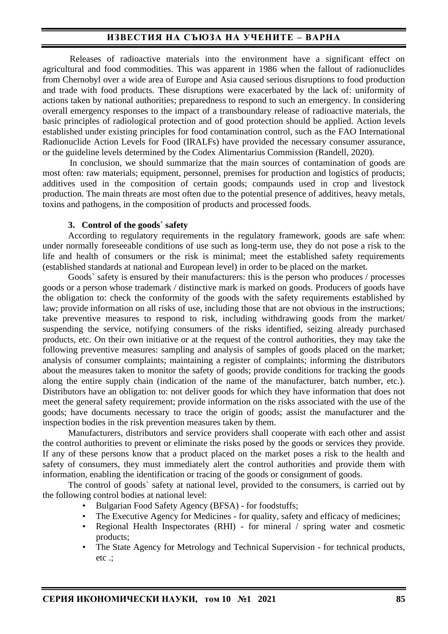Releases of radioactive materials into the environment have a significant effect on agricultural and food commodities. This was apparent in 1986 when the fallout of radionuclides from Chernobyl over a wide area of Europe and Asia caused serious disruptions to food production and trade with food products. These disruptions were exacerbated by the lack of: uniformity of actions taken by national authorities; preparedness to respond to such an emergency. In considering overall emergency responses to the impact of a transboundary release of radioactive materials, the basic principles of radiological protection and of good protection should be applied. Action levels established under existing principles for food contamination control, such as the FAO International Radionuclide Action Levels for Food (IRALFs) have provided the necessary consumer assurance, or the guideline levels determined by the Codex Alimentarius Commission (Randell, 2020).

In conclusion, we should summarize that the main sources of contamination of goods are most often: raw materials; equipment, personnel, premises for production and logistics of products; additives used in the composition of certain goods; compaunds used in crop and livestock production. The main threats are most often due to the potential presence of additives, heavy metals, toxins and pathogens, in the composition of products and processed foods.

#### **3. Control of the goods` safety**

According to regulatory requirements in the regulatory framework, goods are safe when: under normally foreseeable conditions of use such as long-term use, they do not pose a risk to the life and health of consumers or the risk is minimal; meet the established safety requirements (established standards at national and European level) in order to be placed on the market.

Goods` safety is ensured by their manufacturers: this is the person who produces / processes goods or a person whose trademark / distinctive mark is marked on goods. Producers of goods have the obligation to: check the conformity of the goods with the safety requirements established by law; provide information on all risks of use, including those that are not obvious in the instructions; take preventive measures to respond to risk, including withdrawing goods from the market/ suspending the service, notifying consumers of the risks identified, seizing already purchased products, etc. On their own initiative or at the request of the control authorities, they may take the following preventive measures: sampling and analysis of samples of goods placed on the market; analysis of consumer complaints; maintaining a register of complaints; informing the distributors about the measures taken to monitor the safety of goods; provide conditions for tracking the goods along the entire supply chain (indication of the name of the manufacturer, batch number, etc.). Distributors have an obligation to: not deliver goods for which they have information that does not meet the general safety requirement; provide information on the risks associated with the use of the goods; have documents necessary to trace the origin of goods; assist the manufacturer and the inspection bodies in the risk prevention measures taken by them.

Manufacturers, distributors and service providers shall cooperate with each other and assist the control authorities to prevent or eliminate the risks posed by the goods or services they provide. If any of these persons know that a product placed on the market poses a risk to the health and safety of consumers, they must immediately alert the control authorities and provide them with information, enabling the identification or tracing of the goods or consignment of goods.

The control of goods` safety at national level, provided to the consumers, is carried out by the following control bodies at national level:

- Bulgarian Food Safety Agency (BFSA) for foodstuffs;
- The Executive Agency for Medicines for quality, safety and efficacy of medicines;
- Regional Health Inspectorates (RHI) for mineral / spring water and cosmetic products;
- The State Agency for Metrology and Technical Supervision for technical products, etc .;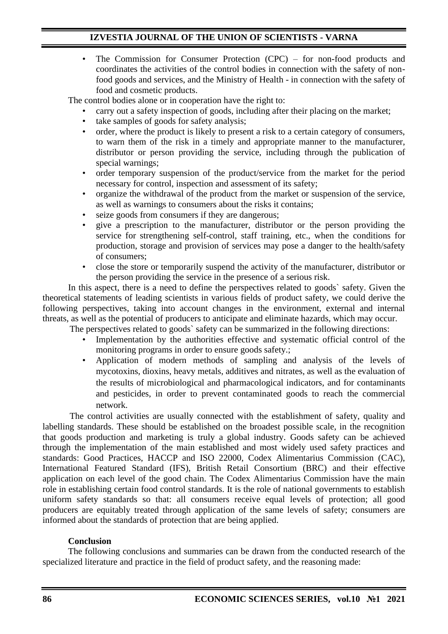• The Commission for Consumer Protection (CPC) – for non-food products and coordinates the activities of the control bodies in connection with the safety of nonfood goods and services, and the Ministry of Health - in connection with the safety of food and cosmetic products.

The control bodies alone or in cooperation have the right to:

- carry out a safety inspection of goods, including after their placing on the market;
- take samples of goods for safety analysis;
- order, where the product is likely to present a risk to a certain category of consumers, to warn them of the risk in a timely and appropriate manner to the manufacturer, distributor or person providing the service, including through the publication of special warnings;
- order temporary suspension of the product/service from the market for the period necessary for control, inspection and assessment of its safety;
- organize the withdrawal of the product from the market or suspension of the service, as well as warnings to consumers about the risks it contains;
- seize goods from consumers if they are dangerous;
- give a prescription to the manufacturer, distributor or the person providing the service for strengthening self-control, staff training, etc., when the conditions for production, storage and provision of services may pose a danger to the health/safety of consumers;
- close the store or temporarily suspend the activity of the manufacturer, distributor or the person providing the service in the presence of a serious risk.

In this aspect, there is a need to define the perspectives related to goods` safety. Given the theoretical statements of leading scientists in various fields of product safety, we could derive the following perspectives, taking into account changes in the environment, external and internal threats, as well as the potential of producers to anticipate and eliminate hazards, which may occur.

- The perspectives related to goods` safety can be summarized in the following directions:
	- Implementation by the authorities effective and systematic official control of the monitoring programs in order to ensure goods safety.;
	- Application of modern methods of sampling and analysis of the levels of mycotoxins, dioxins, heavy metals, additives and nitrates, as well as the evaluation of the results of microbiological and pharmacological indicators, and for contaminants and pesticides, in order to prevent contaminated goods to reach the commercial network.

The control activities are usually connected with the establishment of safety, quality and labelling standards. These should be established on the broadest possible scale, in the recognition that goods production and marketing is truly a global industry. Goods safety can be achieved through the implementation of the main established and most widely used safety practices and standards: Good Practices, HACCP and ISO 22000, Codex Alimentarius Commission (CAC), International Featured Standard (IFS), British Retail Consortium (BRC) and their effective application on each level of the good chain. The Codex Alimentarius Commission have the main role in establishing certain food control standards. It is the role of national governments to establish uniform safety standards so that: all consumers receive equal levels of protection; all good producers are equitably treated through application of the same levels of safety; consumers are informed about the standards of protection that are being applied.

### **Conclusion**

The following conclusions and summaries can be drawn from the conducted research of the specialized literature and practice in the field of product safety, and the reasoning made: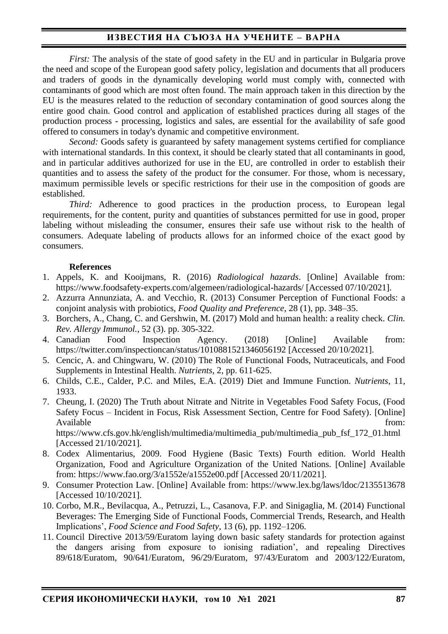*First:* The analysis of the state of good safety in the EU and in particular in Bulgaria prove the need and scope of the European good safety policy, legislation and documents that all producers and traders of goods in the dynamically developing world must comply with, connected with contaminants of good which are most often found. The main approach taken in this direction by the EU is the measures related to the reduction of secondary contamination of good sources along the entire good chain. Good control and application of established practices during all stages of the production process - processing, logistics and sales, are essential for the availability of safe good offered to consumers in today's dynamic and competitive environment.

*Second:* Goods safety is guaranteed by safety management systems certified for compliance with international standards. In this context, it should be clearly stated that all contaminants in good, and in particular additives authorized for use in the EU, are controlled in order to establish their quantities and to assess the safety of the product for the consumer. For those, whom is necessary, maximum permissible levels or specific restrictions for their use in the composition of goods are established.

*Third:* Adherence to good practices in the production process, to European legal requirements, for the content, purity and quantities of substances permitted for use in good, proper labeling without misleading the consumer, ensures their safe use without risk to the health of consumers. Adequate labeling of products allows for an informed choice of the exact good by consumers.

#### **References**

- 1. Appels, K. and Kooijmans, R. (2016) *Radiological hazards*. [Online] Available from: <https://www.foodsafety-experts.com/algemeen/radiological-hazards/> [Accessed 07/10/2021].
- 2. Azzurra Annunziata, A. and Vecchio, R. (2013) Consumer Perception of Functional Foods: a conjoint analysis with probiotics, *Food Quality and Preference*, 28 (1), pp. 348–35.
- 3. Borchers, A., Chang, C. and Gershwin, M. (2017) Mold and human health: a reality check. *Clin. Rev. Allergy Immunol.*, 52 (3). pp. 305-322.
- 4. Canadian Food Inspection Agency. (2018) [Online] Available from: <https://twitter.com/inspectioncan/status/1010881521346056192> [Accessed 20/10/2021].
- 5. Cencic, A. and Chingwaru, W. (2010) The Role of Functional Foods, Nutraceuticals, and Food Supplements in Intestinal Health. *Nutrients*, 2, pp. 611-625.
- 6. Childs, C.E., Calder, P.C. and Miles, E.A. (2019) Diet and Immune Function. *Nutrients*, 11, 1933.
- 7. Cheung, I. (2020) The Truth about Nitrate and Nitrite in Vegetables Food Safety Focus, (Food Safety Focus – Incident in Focus, Risk Assessment Section, Centre for Food Safety). [Online] Available from:

[https://www.cfs.gov.hk/english/multimedia/multimedia\\_pub/multimedia\\_pub\\_fsf\\_172\\_01.html](https://www.cfs.gov.hk/english/multimedia/multimedia_pub/multimedia_pub_fsf_172_01.html) [Accessed 21/10/2021].

- 8. Codex Alimentarius, 2009. Food Hygiene (Basic Texts) Fourth edition. World Health Organization, Food and Agriculture Organization of the United Nations. [Online] Available from: https://www.fao.org/3/a1552e/a1552e00.pdf [Accessed 20/11/2021].
- 9. Consumer Protection Law. [Online] Available from: <https://www.lex.bg/laws/ldoc/2135513678> [Accessed 10/10/2021].
- 10. Corbo, M.R., Bevilacqua, A., Petruzzi, L., Casanova, F.P. and Sinigaglia, M. (2014) Functional Beverages: The Emerging Side of Functional Foods, Commercial Trends, Research, and Health Implications', *Food Science and Food Safety*, 13 (6), pp. 1192–1206.
- 11. Council Directive 2013/59/Euratom laying down basic safety standards for protection against the dangers arising from exposure to ionising radiation', and repealing Directives 89/618/Euratom, 90/641/Euratom, 96/29/Euratom, 97/43/Euratom and 2003/122/Euratom,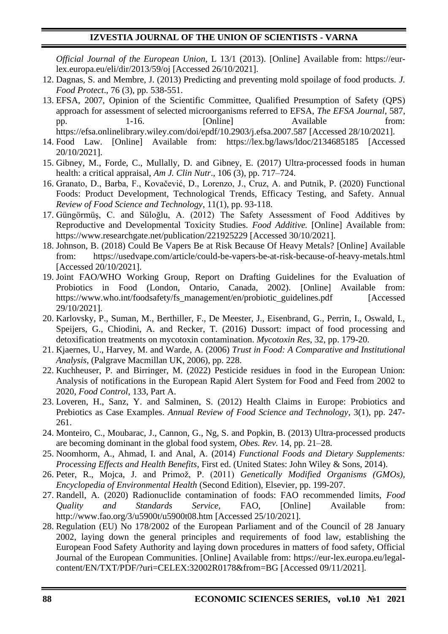*Official Journal of the European Union*, L 13/1 (2013). [Online] Available from: [https://eur](https://eur-lex.europa.eu/eli/dir/2013/59/oj)[lex.europa.eu/eli/dir/2013/59/oj](https://eur-lex.europa.eu/eli/dir/2013/59/oj) [Accessed 26/10/2021].

- 12. Dagnas, S. and Membre, J. (2013) Predicting and preventing mold spoilage of food products. *J. Food Protect*., 76 (3), pp. 538-551.
- 13. EFSA, 2007, Opinion of the Scientific Committee, Qualified Presumption of Safety (QPS) approach for assessment of selected microorganisms referred to EFSA, *The EFSA Journal*, 587, pp. 1-16. [Online] Available from: <https://efsa.onlinelibrary.wiley.com/doi/epdf/10.2903/j.efsa.2007.587> [Accessed 28/10/2021].
- 14. Food Law. [Online] Available from: <https://lex.bg/laws/ldoc/2134685185> [Accessed 20/10/2021].
- 15. Gibney, M., Forde, C., Mullally, D. and Gibney, E. (2017) Ultra-processed foods in human health: a critical appraisal, *Am J. Clin Nutr*., 106 (3), pp. 717–724.
- 16. Granato, D., Barba, F., Kovačević, D., Lorenzo, J., Cruz, A. and Putnik, P. (2020) Functional Foods: Product Development, Technological Trends, Efficacy Testing, and Safety. Annual *Review of Food Science and Technology*, 11(1), pp. 93-118.
- 17. Güngörmüş, C. and Süloğlu, A. (2012) The Safety Assessment of Food Additives by Reproductive and Developmental Toxicity Studies. *Food Additive.* [Online] Available from: <https://www.researchgate.net/publication/221925229> [Accessed 30/10/2021].
- 18. Johnson, B. (2018) Could Be Vapers Be at Risk Because Of Heavy Metals? [Online] Available from: <https://usedvape.com/article/could-be-vapers-be-at-risk-because-of-heavy-metals.html> [Accessed 20/10/2021].
- 19. Joint FAO/WHO Working Group, Report on Drafting Guidelines for the Evaluation of Probiotics in Food (London, Ontario, Canada, 2002). [Online] Available from: [https://www.who.int/foodsafety/fs\\_management/en/probiotic\\_guidelines.pdf](https://www.who.int/foodsafety/fs_management/en/probiotic_guidelines.pdf) [Accessed 29/10/2021].
- 20. Karlovsky, P., Suman, M., Berthiller, F., De Meester, J., Eisenbrand, G., Perrin, I., Oswald, I., Speijers, G., Chiodini, A. and Recker, T. (2016) Dussort: impact of food processing and detoxification treatments on mycotoxin contamination. *Mycotoxin Res*, 32, pp. 179-20.
- 21. Kjaernes, U., Harvey, M. and Warde, A. (2006) *Trust in Food: A Comparative and Institutional Analysis*, (Palgrave Macmillan UK, 2006), pp. 228.
- 22. Kuchheuser, P. and Birringer, M. (2022) Pesticide residues in food in the European Union: Analysis of notifications in the European Rapid Alert System for Food and Feed from 2002 to 2020, *Food Control*, 133, Part A.
- 23. Loveren, H., Sanz, Y. and Salminen, S. (2012) Health Claims in Europe: Probiotics and Prebiotics as Case Examples. *Annual Review of Food Science and Technology*, 3(1), pp. 247- 261.
- 24. Monteiro, C., Moubarac, J., Cannon, G., Ng, S. and Popkin, B. (2013) Ultra-processed products are becoming dominant in the global food system, *Obes. Rev.* 14, pp. 21–28.
- 25. Noomhorm, A., Ahmad, I. and Anal, A. (2014) *Functional Foods and Dietary Supplements: Processing Effects and Health Benefits*, First ed. (United States: John Wiley & Sons, 2014).
- 26. Peter, R., Mojca, J. and Primož, P. (2011) *Genetically Modified Organisms (GMOs), Encyclopedia of Environmental Health* (Second Edition), Elsevier, pp. 199-207.
- 27. Randell, A. (2020) Radionuclide contamination of foods: FAO recommended limits, *Food Quality and Standards Service*, FAO, [Online] Available from: <http://www.fao.org/3/u5900t/u5900t08.htm> [Accessed 25/10/2021].
- 28. Regulation (EU) No 178/2002 of the European Parliament and of the Council of 28 January 2002, laying down the general principles and requirements of food law, establishing the European Food Safety Authority and laying down procedures in matters of food safety, Official Journal of the European Communities. [Online] Available from: https://eur-lex.europa.eu/legalcontent/EN/TXT/PDF/?uri=CELEX:32002R0178&from=BG [Accessed 09/11/2021].